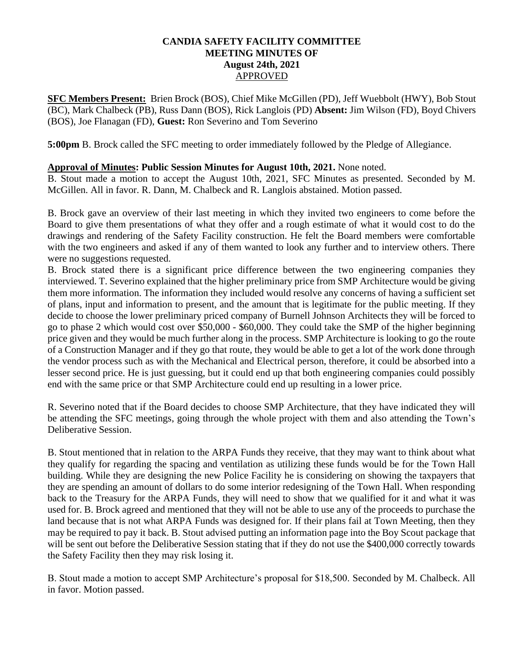## **CANDIA SAFETY FACILITY COMMITTEE MEETING MINUTES OF August 24th, 2021** APPROVED

**SFC Members Present:** Brien Brock (BOS), Chief Mike McGillen (PD), Jeff Wuebbolt (HWY), Bob Stout (BC), Mark Chalbeck (PB), Russ Dann (BOS), Rick Langlois (PD) **Absent:** Jim Wilson (FD), Boyd Chivers (BOS), Joe Flanagan (FD), **Guest:** Ron Severino and Tom Severino

**5:00pm** B. Brock called the SFC meeting to order immediately followed by the Pledge of Allegiance.

## **Approval of Minutes: Public Session Minutes for August 10th, 2021.** None noted.

B. Stout made a motion to accept the August 10th, 2021, SFC Minutes as presented. Seconded by M. McGillen. All in favor. R. Dann, M. Chalbeck and R. Langlois abstained. Motion passed.

B. Brock gave an overview of their last meeting in which they invited two engineers to come before the Board to give them presentations of what they offer and a rough estimate of what it would cost to do the drawings and rendering of the Safety Facility construction. He felt the Board members were comfortable with the two engineers and asked if any of them wanted to look any further and to interview others. There were no suggestions requested.

B. Brock stated there is a significant price difference between the two engineering companies they interviewed. T. Severino explained that the higher preliminary price from SMP Architecture would be giving them more information. The information they included would resolve any concerns of having a sufficient set of plans, input and information to present, and the amount that is legitimate for the public meeting. If they decide to choose the lower preliminary priced company of Burnell Johnson Architects they will be forced to go to phase 2 which would cost over \$50,000 - \$60,000. They could take the SMP of the higher beginning price given and they would be much further along in the process. SMP Architecture is looking to go the route of a Construction Manager and if they go that route, they would be able to get a lot of the work done through the vendor process such as with the Mechanical and Electrical person, therefore, it could be absorbed into a lesser second price. He is just guessing, but it could end up that both engineering companies could possibly end with the same price or that SMP Architecture could end up resulting in a lower price.

R. Severino noted that if the Board decides to choose SMP Architecture, that they have indicated they will be attending the SFC meetings, going through the whole project with them and also attending the Town's Deliberative Session.

B. Stout mentioned that in relation to the ARPA Funds they receive, that they may want to think about what they qualify for regarding the spacing and ventilation as utilizing these funds would be for the Town Hall building. While they are designing the new Police Facility he is considering on showing the taxpayers that they are spending an amount of dollars to do some interior redesigning of the Town Hall. When responding back to the Treasury for the ARPA Funds, they will need to show that we qualified for it and what it was used for. B. Brock agreed and mentioned that they will not be able to use any of the proceeds to purchase the land because that is not what ARPA Funds was designed for. If their plans fail at Town Meeting, then they may be required to pay it back. B. Stout advised putting an information page into the Boy Scout package that will be sent out before the Deliberative Session stating that if they do not use the \$400,000 correctly towards the Safety Facility then they may risk losing it.

B. Stout made a motion to accept SMP Architecture's proposal for \$18,500. Seconded by M. Chalbeck. All in favor. Motion passed.